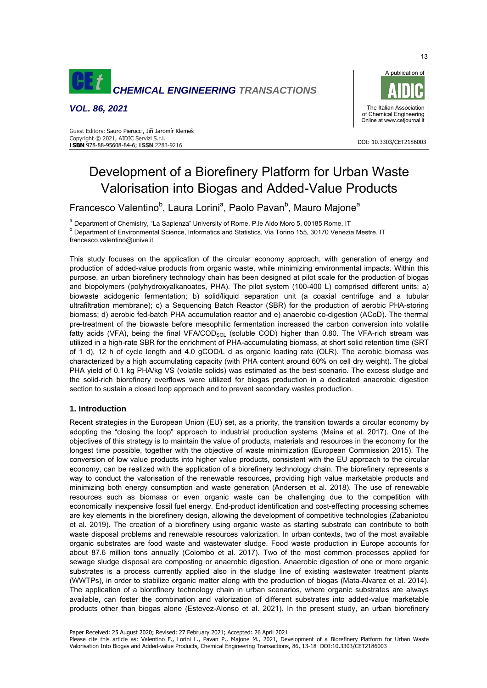

*VOL. 86, 2021* 

#### DOI: 10.3303/CET2186003 **ISBN** 978-88-95608-84-6; **ISSN** 2283-9216 Guest Editors: Sauro Pierucci, Jiří Jaromír Klemeš Copyright © 2021, AIDIC Servizi S.r.l.

# Development of a Biorefinery Platform for Urban Waste Valorisation into Biogas and Added-Value Products

Francesco Valentino<sup>b</sup>, Laura Lorini<sup>a</sup>, Paolo Pavan<sup>b</sup>, Mauro Majone<sup>a</sup>

<sup>a</sup> Department of Chemistry, "La Sapienza" University of Rome, P.le Aldo Moro 5, 00185 Rome, IT

b Department of Environmental Science, Informatics and Statistics, Via Torino 155, 30170 Venezia Mestre, IT francesco.valentino@unive.it

This study focuses on the application of the circular economy approach, with generation of energy and

production of added-value products from organic waste, while minimizing environmental impacts. Within this purpose, an urban biorefinery technology chain has been designed at pilot scale for the production of biogas and biopolymers (polyhydroxyalkanoates, PHA). The pilot system (100-400 L) comprised different units: a) biowaste acidogenic fermentation; b) solid/liquid separation unit (a coaxial centrifuge and a tubular ultrafiltration membrane); c) a Sequencing Batch Reactor (SBR) for the production of aerobic PHA-storing biomass; d) aerobic fed-batch PHA accumulation reactor and e) anaerobic co-digestion (ACoD). The thermal pre-treatment of the biowaste before mesophilic fermentation increased the carbon conversion into volatile fatty acids (VFA), being the final VFA/COD<sub>SOL</sub> (soluble COD) higher than 0.80. The VFA-rich stream was utilized in a high-rate SBR for the enrichment of PHA-accumulating biomass, at short solid retention time (SRT of 1 d), 12 h of cycle length and 4.0 gCOD/L d as organic loading rate (OLR). The aerobic biomass was characterized by a high accumulating capacity (with PHA content around 60% on cell dry weight). The global PHA yield of 0.1 kg PHA/kg VS (volatile solids) was estimated as the best scenario. The excess sludge and the solid-rich biorefinery overflows were utilized for biogas production in a dedicated anaerobic digestion section to sustain a closed loop approach and to prevent secondary wastes production.

# **1. Introduction**

Recent strategies in the European Union (EU) set, as a priority, the transition towards a circular economy by adopting the "closing the loop" approach to industrial production systems (Maina et al. 2017). One of the objectives of this strategy is to maintain the value of products, materials and resources in the economy for the longest time possible, together with the objective of waste minimization (European Commission 2015). The conversion of low value products into higher value products, consistent with the EU approach to the circular economy, can be realized with the application of a biorefinery technology chain. The biorefinery represents a way to conduct the valorisation of the renewable resources, providing high value marketable products and minimizing both energy consumption and waste generation (Andersen et al. 2018). The use of renewable resources such as biomass or even organic waste can be challenging due to the competition with economically inexpensive fossil fuel energy. End-product identification and cost-effecting processing schemes are key elements in the biorefinery design, allowing the development of competitive technologies (Zabaniotou et al. 2019). The creation of a biorefinery using organic waste as starting substrate can contribute to both waste disposal problems and renewable resources valorization. In urban contexts, two of the most available organic substrates are food waste and wastewater sludge. Food waste production in Europe accounts for about 87.6 million tons annually (Colombo et al. 2017). Two of the most common processes applied for sewage sludge disposal are composting or anaerobic digestion. Anaerobic digestion of one or more organic substrates is a process currently applied also in the sludge line of existing wastewater treatment plants (WWTPs), in order to stabilize organic matter along with the production of biogas (Mata-Alvarez et al. 2014). The application of a biorefinery technology chain in urban scenarios, where organic substrates are always available, can foster the combination and valorization of different substrates into added-value marketable products other than biogas alone (Estevez-Alonso et al. 2021). In the present study, an urban biorefinery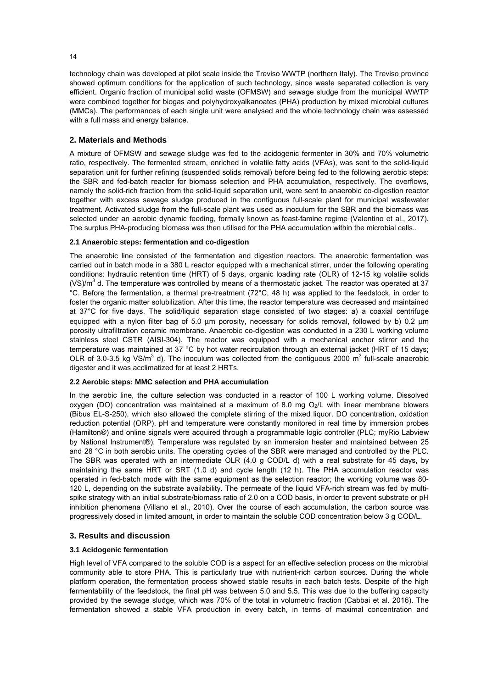technology chain was developed at pilot scale inside the Treviso WWTP (northern Italy). The Treviso province showed optimum conditions for the application of such technology, since waste separated collection is very efficient. Organic fraction of municipal solid waste (OFMSW) and sewage sludge from the municipal WWTP were combined together for biogas and polyhydroxyalkanoates (PHA) production by mixed microbial cultures (MMCs). The performances of each single unit were analysed and the whole technology chain was assessed with a full mass and energy balance.

## **2. Materials and Methods**

A mixture of OFMSW and sewage sludge was fed to the acidogenic fermenter in 30% and 70% volumetric ratio, respectively. The fermented stream, enriched in volatile fatty acids (VFAs), was sent to the solid-liquid separation unit for further refining (suspended solids removal) before being fed to the following aerobic steps: the SBR and fed-batch reactor for biomass selection and PHA accumulation, respectively. The overflows, namely the solid-rich fraction from the solid-liquid separation unit, were sent to anaerobic co-digestion reactor together with excess sewage sludge produced in the contiguous full-scale plant for municipal wastewater treatment. Activated sludge from the full-scale plant was used as inoculum for the SBR and the biomass was selected under an aerobic dynamic feeding, formally known as feast-famine regime (Valentino et al., 2017). The surplus PHA-producing biomass was then utilised for the PHA accumulation within the microbial cells..

## **2.1 Anaerobic steps: fermentation and co-digestion**

The anaerobic line consisted of the fermentation and digestion reactors. The anaerobic fermentation was carried out in batch mode in a 380 L reactor equipped with a mechanical stirrer, under the following operating conditions: hydraulic retention time (HRT) of 5 days, organic loading rate (OLR) of 12-15 kg volatile solids (VS)/ $m^3$  d. The temperature was controlled by means of a thermostatic jacket. The reactor was operated at 37 °C. Before the fermentation, a thermal pre-treatment (72°C, 48 h) was applied to the feedstock, in order to foster the organic matter solubilization. After this time, the reactor temperature was decreased and maintained at 37°C for five days. The solid/liquid separation stage consisted of two stages: a) a coaxial centrifuge equipped with a nylon filter bag of 5.0 μm porosity, necessary for solids removal, followed by b) 0.2 μm porosity ultrafiltration ceramic membrane. Anaerobic co-digestion was conducted in a 230 L working volume stainless steel CSTR (AISI-304). The reactor was equipped with a mechanical anchor stirrer and the temperature was maintained at 37 °C by hot water recirculation through an external jacket (HRT of 15 days; OLR of 3.0-3.5 kg VS/m<sup>3</sup> d). The inoculum was collected from the contiguous 2000 m<sup>3</sup> full-scale anaerobic digester and it was acclimatized for at least 2 HRTs.

#### **2.2 Aerobic steps: MMC selection and PHA accumulation**

In the aerobic line, the culture selection was conducted in a reactor of 100 L working volume. Dissolved oxygen (DO) concentration was maintained at a maximum of 8.0 mg  $O<sub>2</sub>/L$  with linear membrane blowers (Bibus EL-S-250), which also allowed the complete stirring of the mixed liquor. DO concentration, oxidation reduction potential (ORP), pH and temperature were constantly monitored in real time by immersion probes (Hamilton®) and online signals were acquired through a programmable logic controller (PLC; myRio Labview by National Instrument®). Temperature was regulated by an immersion heater and maintained between 25 and 28 °C in both aerobic units. The operating cycles of the SBR were managed and controlled by the PLC. The SBR was operated with an intermediate OLR (4.0 g COD/L d) with a real substrate for 45 days, by maintaining the same HRT or SRT (1.0 d) and cycle length (12 h). The PHA accumulation reactor was operated in fed-batch mode with the same equipment as the selection reactor; the working volume was 80- 120 L, depending on the substrate availability. The permeate of the liquid VFA-rich stream was fed by multispike strategy with an initial substrate/biomass ratio of 2.0 on a COD basis, in order to prevent substrate or pH inhibition phenomena (Villano et al., 2010). Over the course of each accumulation, the carbon source was progressively dosed in limited amount, in order to maintain the soluble COD concentration below 3 g COD/L.

## **3. Results and discussion**

## **3.1 Acidogenic fermentation**

High level of VFA compared to the soluble COD is a aspect for an effective selection process on the microbial community able to store PHA. This is particularly true with nutrient-rich carbon sources. During the whole platform operation, the fermentation process showed stable results in each batch tests. Despite of the high fermentability of the feedstock, the final pH was between 5.0 and 5.5. This was due to the buffering capacity provided by the sewage sludge, which was 70% of the total in volumetric fraction (Cabbai et al. 2016). The fermentation showed a stable VFA production in every batch, in terms of maximal concentration and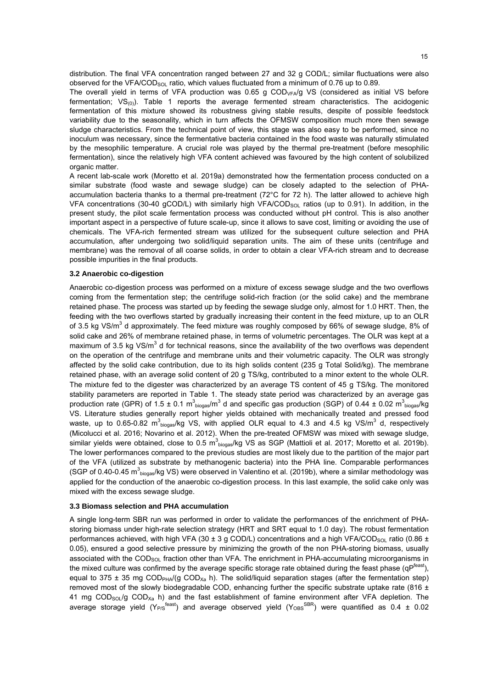distribution. The final VFA concentration ranged between 27 and 32 g COD/L; similar fluctuations were also observed for the VFA/COD<sub>SOL</sub> ratio, which values fluctuated from a minimum of 0.76 up to 0.89.

The overall yield in terms of VFA production was  $0.65$  g  $\text{COD}_{\text{VFA}}/g$  VS (considered as initial VS before fermentation;  $VS_{(0)}$ ). Table 1 reports the average fermented stream characteristics. The acidogenic fermentation of this mixture showed its robustness giving stable results, despite of possible feedstock variability due to the seasonality, which in turn affects the OFMSW composition much more then sewage sludge characteristics. From the technical point of view, this stage was also easy to be performed, since no inoculum was necessary, since the fermentative bacteria contained in the food waste was naturally stimulated by the mesophilic temperature. A crucial role was played by the thermal pre-treatment (before mesophilic fermentation), since the relatively high VFA content achieved was favoured by the high content of solubilized organic matter.

A recent lab-scale work (Moretto et al. 2019a) demonstrated how the fermentation process conducted on a similar substrate (food waste and sewage sludge) can be closely adapted to the selection of PHAaccumulation bacteria thanks to a thermal pre-treatment (72°C for 72 h). The latter allowed to achieve high VFA concentrations (30-40 gCOD/L) with similarly high VFA/COD<sub>SOL</sub> ratios (up to 0.91). In addition, in the present study, the pilot scale fermentation process was conducted without pH control. This is also another important aspect in a perspective of future scale-up, since it allows to save cost, limiting or avoiding the use of chemicals. The VFA-rich fermented stream was utilized for the subsequent culture selection and PHA accumulation, after undergoing two solid/liquid separation units. The aim of these units (centrifuge and membrane) was the removal of all coarse solids, in order to obtain a clear VFA-rich stream and to decrease possible impurities in the final products.

#### **3.2 Anaerobic co-digestion**

Anaerobic co-digestion process was performed on a mixture of excess sewage sludge and the two overflows coming from the fermentation step; the centrifuge solid-rich fraction (or the solid cake) and the membrane retained phase. The process was started up by feeding the sewage sludge only, almost for 1.0 HRT. Then, the feeding with the two overflows started by gradually increasing their content in the feed mixture, up to an OLR of 3.5 kg VS/m<sup>3</sup> d approximately. The feed mixture was roughly composed by 66% of sewage sludge, 8% of solid cake and 26% of membrane retained phase, in terms of volumetric percentages. The OLR was kept at a maximum of 3.5 kg VS/m<sup>3</sup> d for technical reasons, since the availability of the two overflows was dependent on the operation of the centrifuge and membrane units and their volumetric capacity. The OLR was strongly affected by the solid cake contribution, due to its high solids content (235 g Total Solid/kg). The membrane retained phase, with an average solid content of 20 g TS/kg, contributed to a minor extent to the whole OLR. The mixture fed to the digester was characterized by an average TS content of 45 g TS/kg. The monitored stability parameters are reported in Table 1. The steady state period was characterized by an average gas production rate (GPR) of 1.5 ± 0.1  $m^3$ <sub>biogas</sub>/m<sup>3</sup> d and specific gas production (SGP) of 0.44 ± 0.02  $m^3$ <sub>biogas</sub>/kg VS. Literature studies generally report higher yields obtained with mechanically treated and pressed food waste, up to 0.65-0.82 m<sup>3</sup><sub>biogas</sub>/kg VS, with applied OLR equal to 4.3 and 4.5 kg VS/m<sup>3</sup> d, respectively (Micolucci et al. 2016; Novarino et al. 2012). When the pre-treated OFMSW was mixed with sewage sludge, similar yields were obtained, close to 0.5 m<sup>3</sup><sub>biogas</sub>/kg VS as SGP (Mattioli et al. 2017; Moretto et al. 2019b). The lower performances compared to the previous studies are most likely due to the partition of the major part of the VFA (utilized as substrate by methanogenic bacteria) into the PHA line. Comparable performances (SGP of 0.40-0.45 m $^3$ <sub>biogas</sub>/kg VS) were observed in Valentino et al. (2019b), where a similar methodology was applied for the conduction of the anaerobic co-digestion process. In this last example, the solid cake only was mixed with the excess sewage sludge.

#### **3.3 Biomass selection and PHA accumulation**

A single long-term SBR run was performed in order to validate the performances of the enrichment of PHAstoring biomass under high-rate selection strategy (HRT and SRT equal to 1.0 day). The robust fermentation performances achieved, with high VFA (30  $\pm$  3 g COD/L) concentrations and a high VFA/COD<sub>SOL</sub> ratio (0.86  $\pm$ 0.05), ensured a good selective pressure by minimizing the growth of the non PHA-storing biomass, usually associated with the COD<sub>SOL</sub> fraction other than VFA. The enrichment in PHA-accumulating microorganisms in the mixed culture was confirmed by the average specific storage rate obtained during the feast phase (qP<sup>feast</sup>), equal to 375  $\pm$  35 mg COD<sub>PHA</sub>/(g COD<sub>xa</sub> h). The solid/liquid separation stages (after the fermentation step) removed most of the slowly biodegradable COD, enhancing further the specific substrate uptake rate (816  $\pm$ 41 mg COD<sub>SOL</sub>/g COD<sub>Xa</sub> h) and the fast establishment of famine environment after VFA depletion. The average storage yield (Y<sub>P/S</sub><sup>feast</sup>) and average observed yield (Y<sub>OBS</sub><sup>SBR</sup>) were quantified as 0.4 ± 0.02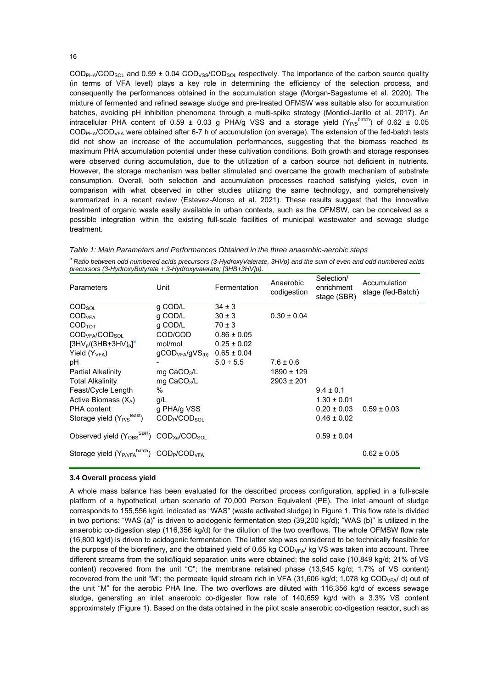$\text{COD}_{\text{PHA}}/\text{COD}_{\text{SOL}}$  and 0.59 ± 0.04 COD<sub>VSS</sub>/COD<sub>SOL</sub> respectively. The importance of the carbon source quality (in terms of VFA level) plays a key role in determining the efficiency of the selection process, and consequently the performances obtained in the accumulation stage (Morgan-Sagastume et al. 2020). The mixture of fermented and refined sewage sludge and pre-treated OFMSW was suitable also for accumulation batches, avoiding pH inhibition phenomena through a multi-spike strategy (Montiel-Jarillo et al. 2017). An intracellular PHA content of 0.59  $\pm$  0.03 g PHA/g VSS and a storage yield (Y<sub>P/S</sub><sup>batch</sup>) of 0.62  $\pm$  0.05 COD<sub>PHA</sub>/COD<sub>VFA</sub> were obtained after 6-7 h of accumulation (on average). The extension of the fed-batch tests did not show an increase of the accumulation performances, suggesting that the biomass reached its maximum PHA accumulation potential under these cultivation conditions. Both growth and storage responses were observed during accumulation, due to the utilization of a carbon source not deficient in nutrients. However, the storage mechanism was better stimulated and overcame the growth mechanism of substrate consumption. Overall, both selection and accumulation processes reached satisfying yields, even in comparison with what observed in other studies utilizing the same technology, and comprehensively summarized in a recent review (Estevez-Alonso et al. 2021). These results suggest that the innovative treatment of organic waste easily available in urban contexts, such as the OFMSW, can be conceived as a possible integration within the existing full-scale facilities of municipal wastewater and sewage sludge treatment.

*Table 1: Main Parameters and Performances Obtained in the three anaerobic-aerobic steps* 

*a Ratio between odd numbered acids precursors (3-HydroxyValerate, 3HVp) and the sum of even and odd numbered acids precursors (3-HydroxyButyrate + 3-Hydroxyvalerate; [3HB+3HV]p).* 

| Parameters                                                                                | Unit                                                   | Fermentation    | Anaerobic<br>codigestion | Selection/<br>enrichment<br>stage (SBR) | Accumulation<br>stage (fed-Batch) |
|-------------------------------------------------------------------------------------------|--------------------------------------------------------|-----------------|--------------------------|-----------------------------------------|-----------------------------------|
| COD <sub>SOL</sub>                                                                        | q COD/L                                                | $34 \pm 3$      |                          |                                         |                                   |
| $\text{COD}_{\text{VFA}}$                                                                 | g COD/L                                                | $30 \pm 3$      | $0.30 \pm 0.04$          |                                         |                                   |
| COD <sub>TOT</sub>                                                                        | g COD/L                                                | $70 \pm 3$      |                          |                                         |                                   |
| $\text{COD}_{\text{VFA}}/\text{COD}_{\text{SOL}}$                                         | COD/COD                                                | $0.86 \pm 0.05$ |                          |                                         |                                   |
| $[3HV_{p}/(3HB+3HV)_{p}]^{a}$                                                             | mol/mol                                                | $0.25 \pm 0.02$ |                          |                                         |                                   |
| Yield $(YVFA)$                                                                            | $q$ COD <sub>VFA</sub> /gVS <sub>(0)</sub> 0.65 ± 0.04 |                 |                          |                                         |                                   |
| рH                                                                                        |                                                        | $5.0 \div 5.5$  | $7.6 \pm 0.6$            |                                         |                                   |
| <b>Partial Alkalinity</b>                                                                 | mg $CaCO3/L$                                           |                 | 1890 ± 129               |                                         |                                   |
| <b>Total Alkalinity</b>                                                                   | $mg$ CaCO <sub>3</sub> /L                              |                 | $2903 \pm 201$           |                                         |                                   |
| Feast/Cycle Length                                                                        | $\%$                                                   |                 |                          | $9.4 \pm 0.1$                           |                                   |
| Active Biomass $(X_A)$                                                                    | q/L                                                    |                 |                          | $1.30 \pm 0.01$                         |                                   |
| <b>PHA</b> content                                                                        | g PHA/g VSS                                            |                 |                          | $0.20 \pm 0.03$                         | $0.59 \pm 0.03$                   |
| Storage yield (Y <sub>P/S</sub> <sup>feast</sup> )                                        | $\text{COD}_{\text{P}}/\text{COD}_{\text{SOL}}$        |                 |                          | $0.46 \pm 0.02$                         |                                   |
| Observed yield $(Y_{OBS}^{SBR})$ COD <sub>Xa</sub> /COD <sub>SOL</sub>                    |                                                        |                 |                          | $0.59 \pm 0.04$                         |                                   |
| Storage yield (Y <sub>P/VFA</sub> <sup>batch</sup> ) COD <sub>P</sub> /COD <sub>VFA</sub> |                                                        |                 |                          |                                         | $0.62 \pm 0.05$                   |

#### **3.4 Overall process yield**

A whole mass balance has been evaluated for the described process configuration, applied in a full-scale platform of a hypothetical urban scenario of 70,000 Person Equivalent (PE). The inlet amount of sludge corresponds to 155,556 kg/d, indicated as "WAS" (waste activated sludge) in Figure 1. This flow rate is divided in two portions: "WAS (a)" is driven to acidogenic fermentation step (39,200 kg/d); "WAS (b)" is utilized in the anaerobic co-digestion step (116,356 kg/d) for the dilution of the two overflows. The whole OFMSW flow rate (16,800 kg/d) is driven to acidogenic fermentation. The latter step was considered to be technically feasible for the purpose of the biorefinery, and the obtained yield of 0.65 kg COD<sub>VFA</sub>/ kg VS was taken into account. Three different streams from the solid/liquid separation units were obtained: the solid cake (10,849 kg/d; 21% of VS content) recovered from the unit "C"; the membrane retained phase (13,545 kg/d; 1.7% of VS content) recovered from the unit "M"; the permeate liquid stream rich in VFA (31,606 kg/d; 1,078 kg COD<sub>VFA</sub>/ d) out of the unit "M" for the aerobic PHA line. The two overflows are diluted with 116,356 kg/d of excess sewage sludge, generating an inlet anaerobic co-digester flow rate of 140,659 kg/d with a 3.3% VS content approximately (Figure 1). Based on the data obtained in the pilot scale anaerobic co-digestion reactor, such as

16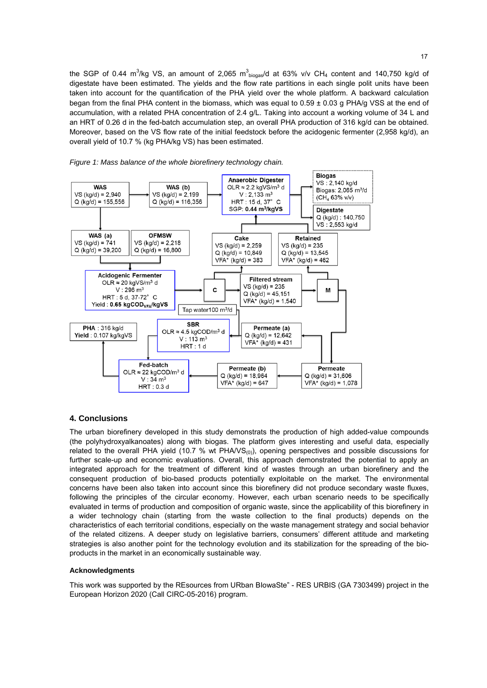the SGP of 0.44 m<sup>3</sup>/kg VS, an amount of 2,065 m<sup>3</sup><sub>biogas</sub>/d at 63% v/v CH<sub>4</sub> content and 140,750 kg/d of digestate have been estimated. The yields and the flow rate partitions in each single polit units have been taken into account for the quantification of the PHA yield over the whole platform. A backward calculation began from the final PHA content in the biomass, which was equal to 0.59 ± 0.03 g PHA/g VSS at the end of accumulation, with a related PHA concentration of 2.4 g/L. Taking into account a working volume of 34 L and an HRT of 0.26 d in the fed-batch accumulation step, an overall PHA production of 316 kg/d can be obtained. Moreover, based on the VS flow rate of the initial feedstock before the acidogenic fermenter (2,958 kg/d), an overall yield of 10.7 % (kg PHA/kg VS) has been estimated.





## **4. Conclusions**

The urban biorefinery developed in this study demonstrats the production of high added-value compounds (the polyhydroxyalkanoates) along with biogas. The platform gives interesting and useful data, especially related to the overall PHA yield (10.7 % wt PHA/VS $_{(0)}$ ), opening perspectives and possible discussions for further scale-up and economic evaluations. Overall, this approach demonstrated the potential to apply an integrated approach for the treatment of different kind of wastes through an urban biorefinery and the consequent production of bio-based products potentially exploitable on the market. The environmental concerns have been also taken into account since this biorefinery did not produce secondary waste fluxes, following the principles of the circular economy. However, each urban scenario needs to be specifically evaluated in terms of production and composition of organic waste, since the applicability of this biorefinery in a wider technology chain (starting from the waste collection to the final products) depends on the characteristics of each territorial conditions, especially on the waste management strategy and social behavior of the related citizens. A deeper study on legislative barriers, consumers' different attitude and marketing strategies is also another point for the technology evolution and its stabilization for the spreading of the bioproducts in the market in an economically sustainable way.

#### **Acknowledgments**

This work was supported by the REsources from URban BIowaSte" - RES URBIS (GA 7303499) project in the European Horizon 2020 (Call CIRC-05-2016) program.